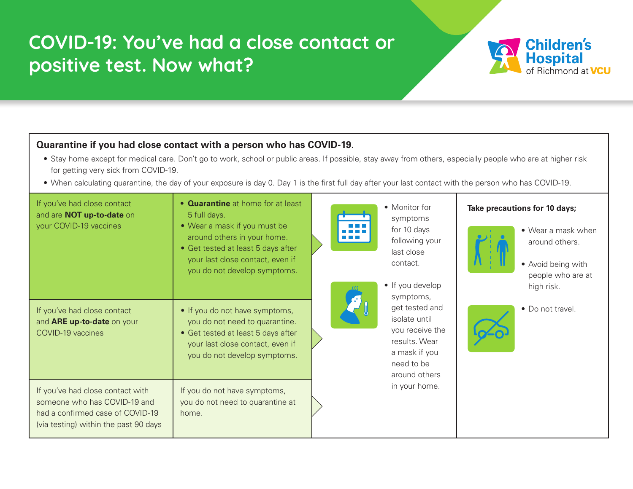## **COVID-19: You've had a close contact or positive test. Now what?**

## **Quarantine if you had close contact with a person who has COVID-19.**

• Stay home except for medical care. Don't go to work, school or public areas. If possible, stay away from others, especially people who are at higher risk for getting very sick from COVID-19.

**Children's** 

**Hospital**<br>of Richmond at **VCU** 

• When calculating quarantine, the day of your exposure is day 0. Day 1 is the first full day after your last contact with the person who has COVID-19.

| If you've had close contact<br>and are <b>NOT up-to-date</b> on<br>your COVID-19 vaccines                                                     | • <b>Quarantine</b> at home for at least<br>5 full days.<br>• Wear a mask if you must be<br>around others in your home.<br>• Get tested at least 5 days after<br>your last close contact, even if<br>you do not develop symptoms. | <b>TERRITA DE</b>    | • Monitor for<br>symptoms<br>for 10 days<br>following your<br>last close<br>contact.<br>• If you develop<br>symptoms,<br>get tested and<br>isolate until<br>you receive the<br>results. Wear<br>a mask if you<br>need to be<br>around others<br>in your home. | Take precautions for 10 days;<br>• Wear a mask when<br>around others.<br>• Avoid being with<br>people who are at<br>high risk.<br>• Do not travel. |  |
|-----------------------------------------------------------------------------------------------------------------------------------------------|-----------------------------------------------------------------------------------------------------------------------------------------------------------------------------------------------------------------------------------|----------------------|---------------------------------------------------------------------------------------------------------------------------------------------------------------------------------------------------------------------------------------------------------------|----------------------------------------------------------------------------------------------------------------------------------------------------|--|
| If you've had close contact<br>and <b>ARE up-to-date</b> on your<br>COVID-19 vaccines                                                         | • If you do not have symptoms,<br>you do not need to quarantine.<br>• Get tested at least 5 days after<br>your last close contact, even if<br>you do not develop symptoms.                                                        | $\boldsymbol{\beta}$ |                                                                                                                                                                                                                                                               |                                                                                                                                                    |  |
| If you've had close contact with<br>someone who has COVID-19 and<br>had a confirmed case of COVID-19<br>(via testing) within the past 90 days | If you do not have symptoms,<br>you do not need to quarantine at<br>home.                                                                                                                                                         |                      |                                                                                                                                                                                                                                                               |                                                                                                                                                    |  |